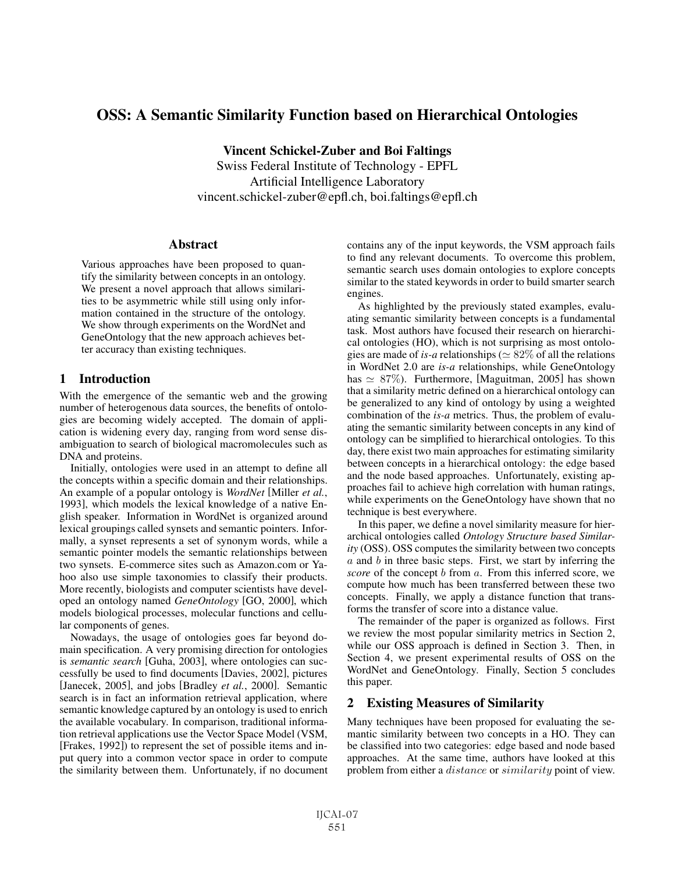# OSS: A Semantic Similarity Function based on Hierarchical Ontologies

Vincent Schickel-Zuber and Boi Faltings Swiss Federal Institute of Technology - EPFL Artificial Intelligence Laboratory vincent.schickel-zuber@epfl.ch, boi.faltings@epfl.ch

## **Abstract**

Various approaches have been proposed to quantify the similarity between concepts in an ontology. We present a novel approach that allows similarities to be asymmetric while still using only information contained in the structure of the ontology. We show through experiments on the WordNet and GeneOntology that the new approach achieves better accuracy than existing techniques.

## 1 Introduction

With the emergence of the semantic web and the growing number of heterogenous data sources, the benefits of ontologies are becoming widely accepted. The domain of application is widening every day, ranging from word sense disambiguation to search of biological macromolecules such as DNA and proteins.

Initially, ontologies were used in an attempt to define all the concepts within a specific domain and their relationships. An example of a popular ontology is *WordNet* [Miller *et al.*, 1993], which models the lexical knowledge of a native English speaker. Information in WordNet is organized around lexical groupings called synsets and semantic pointers. Informally, a synset represents a set of synonym words, while a semantic pointer models the semantic relationships between two synsets. E-commerce sites such as Amazon.com or Yahoo also use simple taxonomies to classify their products. More recently, biologists and computer scientists have developed an ontology named *GeneOntology* [GO, 2000], which models biological processes, molecular functions and cellular components of genes.

Nowadays, the usage of ontologies goes far beyond domain specification. A very promising direction for ontologies is *semantic search* [Guha, 2003], where ontologies can successfully be used to find documents [Davies, 2002], pictures [Janecek, 2005], and jobs [Bradley *et al.*, 2000]. Semantic search is in fact an information retrieval application, where semantic knowledge captured by an ontology is used to enrich the available vocabulary. In comparison, traditional information retrieval applications use the Vector Space Model (VSM, [Frakes, 1992]) to represent the set of possible items and input query into a common vector space in order to compute the similarity between them. Unfortunately, if no document contains any of the input keywords, the VSM approach fails to find any relevant documents. To overcome this problem, semantic search uses domain ontologies to explore concepts similar to the stated keywords in order to build smarter search engines.

As highlighted by the previously stated examples, evaluating semantic similarity between concepts is a fundamental task. Most authors have focused their research on hierarchical ontologies (HO), which is not surprising as most ontologies are made of *is-a* relationships ( $\simeq 82\%$  of all the relations<br>in WordNet 2.0 are *is-a* relationships while GeneOntology in WordNet 2.0 are *is-a* relationships, while GeneOntology has  $\simeq 87\%$ ). Furthermore, [Maguitman, 2005] has shown that a similarity metric defined on a hierarchical ontology can that a similarity metric defined on a hierarchical ontology can be generalized to any kind of ontology by using a weighted combination of the *is-a* metrics. Thus, the problem of evaluating the semantic similarity between concepts in any kind of ontology can be simplified to hierarchical ontologies. To this day, there exist two main approaches for estimating similarity between concepts in a hierarchical ontology: the edge based and the node based approaches. Unfortunately, existing approaches fail to achieve high correlation with human ratings, while experiments on the GeneOntology have shown that no technique is best everywhere.

In this paper, we define a novel similarity measure for hierarchical ontologies called *Ontology Structure based Similarity* (OSS). OSS computes the similarity between two concepts  $a$  and  $b$  in three basic steps. First, we start by inferring the *score* of the concept b from a. From this inferred score, we compute how much has been transferred between these two concepts. Finally, we apply a distance function that transforms the transfer of score into a distance value.

The remainder of the paper is organized as follows. First we review the most popular similarity metrics in Section 2, while our OSS approach is defined in Section 3. Then, in Section 4, we present experimental results of OSS on the WordNet and GeneOntology. Finally, Section 5 concludes this paper.

## 2 Existing Measures of Similarity

Many techniques have been proposed for evaluating the semantic similarity between two concepts in a HO. They can be classified into two categories: edge based and node based approaches. At the same time, authors have looked at this problem from either a distance or similarity point of view.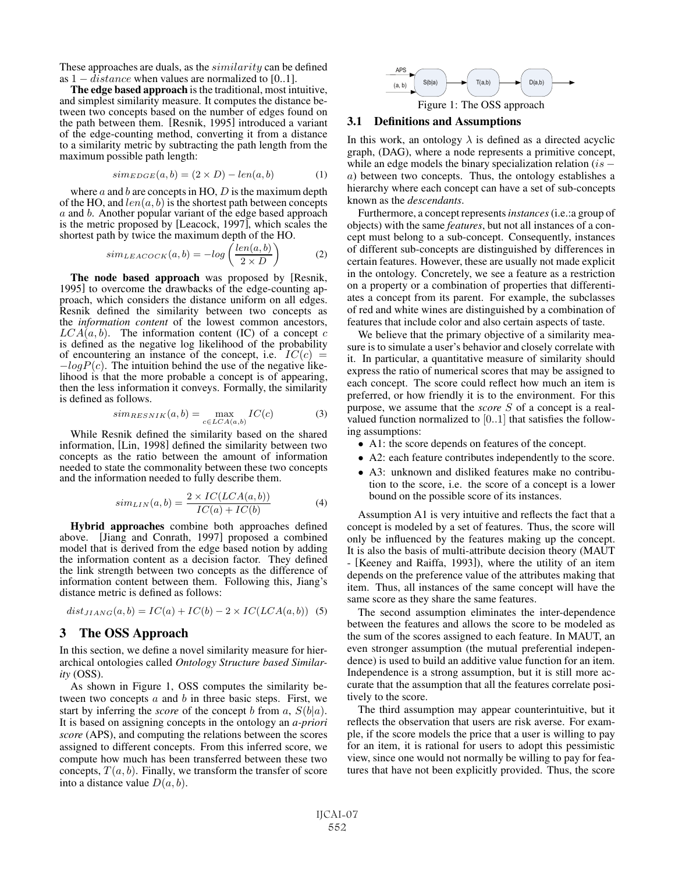These approaches are duals, as the *similarity* can be defined

as  $1 - distance$  when values are normalized to [0..1].<br>The edge based approach is the traditional, most intuitive, and simplest similarity measure. It computes the distance between two concepts based on the number of edges found on the path between them. [Resnik, 1995] introduced a variant of the edge-counting method, converting it from a distance to a similarity metric by subtracting the path length from the maximum possible path length:

$$
sim_{EDGE}(a,b) = (2 \times D) - len(a,b) \tag{1}
$$

where  $a$  and  $b$  are concepts in HO,  $D$  is the maximum depth of the HO, and  $len(a, b)$  is the shortest path between concepts a and b. Another popular variant of the edge based approach is the metric proposed by [Leacock, 1997], which scales the shortest path by twice the maximum depth of the HO.

$$
sim_{LEACOCK}(a,b) = -log\left(\frac{len(a,b)}{2 \times D}\right)
$$
 (2)

The node based approach was proposed by [Resnik, 1995] to overcome the drawbacks of the edge-counting approach, which considers the distance uniform on all edges. Resnik defined the similarity between two concepts as the *information content* of the lowest common ancestors,  $LCA(a, b)$ . The information content (IC) of a concept c is defined as the negative log likelihood of the probability of encountering an instance of the concept, i.e.  $IC(c) = -logP(c)$ . The intuition behind the use of the negative likelihood is that the more probable a concept is of appearing, then the less information it conveys. Formally, the similarity is defined as follows.

$$
sim_{RESNIK}(a,b) = \max_{c \in LCA(a,b)} IC(c) \tag{3}
$$

While Resnik defined the similarity based on the shared information, [Lin, 1998] defined the similarity between two concepts as the ratio between the amount of information needed to state the commonality between these two concepts and the information needed to fully describe them.

$$
sim_{LIN}(a,b) = \frac{2 \times IC(LCA(a,b))}{IC(a) + IC(b)} \tag{4}
$$

Hybrid approaches combine both approaches defined above. [Jiang and Conrath, 1997] proposed a combined model that is derived from the edge based notion by adding the information content as a decision factor. They defined the link strength between two concepts as the difference of information content between them. Following this, Jiang's distance metric is defined as follows:

$$
dist_{JIANG}(a,b) = IC(a) + IC(b) - 2 \times IC(LCA(a,b))
$$
 (5)

## 3 The OSS Approach

In this section, we define a novel similarity measure for hierarchical ontologies called *Ontology Structure based Similarity* (OSS).

As shown in Figure 1, OSS computes the similarity between two concepts  $a$  and  $b$  in three basic steps. First, we start by inferring the *score* of the concept b from a,  $S(b|a)$ . It is based on assigning concepts in the ontology an *a-priori score* (APS), and computing the relations between the scores assigned to different concepts. From this inferred score, we compute how much has been transferred between these two concepts,  $T(a, b)$ . Finally, we transform the transfer of score into a distance value  $D(a, b)$ .



#### 3.1 Definitions and Assumptions

In this work, an ontology  $\lambda$  is defined as a directed acyclic graph, (DAG), where a node represents a primitive concept, while an edge models the binary specialization relation ( $is$  – a) between two concepts. Thus, the ontology establishes a hierarchy where each concept can have a set of sub-concepts known as the *descendants*.

Furthermore, a concept represents*instances*(i.e.:a group of objects) with the same *features*, but not all instances of a concept must belong to a sub-concept. Consequently, instances of different sub-concepts are distinguished by differences in certain features. However, these are usually not made explicit in the ontology. Concretely, we see a feature as a restriction on a property or a combination of properties that differentiates a concept from its parent. For example, the subclasses of red and white wines are distinguished by a combination of features that include color and also certain aspects of taste.

We believe that the primary objective of a similarity measure is to simulate a user's behavior and closely correlate with it. In particular, a quantitative measure of similarity should express the ratio of numerical scores that may be assigned to each concept. The score could reflect how much an item is preferred, or how friendly it is to the environment. For this purpose, we assume that the *score* S of a concept is a realvalued function normalized to  $[0..1]$  that satisfies the following assumptions:

- A1: the score depends on features of the concept.
- A2: each feature contributes independently to the score.
- A3: unknown and disliked features make no contribution to the score, i.e. the score of a concept is a lower bound on the possible score of its instances.

Assumption A1 is very intuitive and reflects the fact that a concept is modeled by a set of features. Thus, the score will only be influenced by the features making up the concept. It is also the basis of multi-attribute decision theory (MAUT - [Keeney and Raiffa, 1993]), where the utility of an item depends on the preference value of the attributes making that item. Thus, all instances of the same concept will have the same score as they share the same features.

The second assumption eliminates the inter-dependence between the features and allows the score to be modeled as the sum of the scores assigned to each feature. In MAUT, an even stronger assumption (the mutual preferential independence) is used to build an additive value function for an item. Independence is a strong assumption, but it is still more accurate that the assumption that all the features correlate positively to the score.

The third assumption may appear counterintuitive, but it reflects the observation that users are risk averse. For example, if the score models the price that a user is willing to pay for an item, it is rational for users to adopt this pessimistic view, since one would not normally be willing to pay for features that have not been explicitly provided. Thus, the score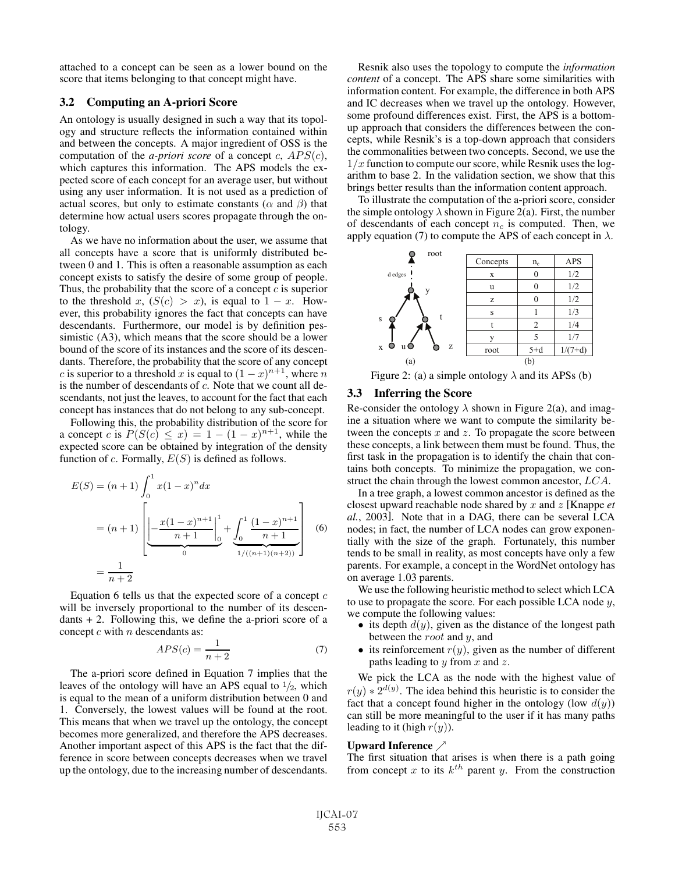attached to a concept can be seen as a lower bound on the score that items belonging to that concept might have.

## 3.2 Computing an A-priori Score

An ontology is usually designed in such a way that its topology and structure reflects the information contained within and between the concepts. A major ingredient of OSS is the computation of the *a-priori score* of a concept c,  $APS(c)$ , which captures this information. The APS models the expected score of each concept for an average user, but without using any user information. It is not used as a prediction of actual scores, but only to estimate constants ( $\alpha$  and  $\beta$ ) that determine how actual users scores propagate through the ontology.

As we have no information about the user, we assume that all concepts have a score that is uniformly distributed between 0 and 1. This is often a reasonable assumption as each concept exists to satisfy the desire of some group of people. Thus, the probability that the score of a concept  $c$  is superior to the threshold x,  $(S(c) > x)$ , is equal to  $1 - x$ . However, this probability ignores the fact that concepts can have descendants. Furthermore, our model is by definition pessimistic (A3), which means that the score should be a lower bound of the score of its instances and the score of its descendants. Therefore, the probability that the score of any concept c is superior to a threshold x is equal to  $(1-x)^{n+1}$ , where n is the number of descendants of  $c$ . Note that we count all descendants, not just the leaves, to account for the fact that each concept has instances that do not belong to any sub-concept.

Following this, the probability distribution of the score for a concept c is  $P(S(c) \leq x) = 1 - (1 - x)^{n+1}$ , while the expected score can be obtained by integration of the density function of c. Formally,  $E(S)$  is defined as follows.

$$
E(S) = (n+1) \int_0^1 x(1-x)^n dx
$$
  
=  $(n+1)$  
$$
\left[ -\frac{x(1-x)^{n+1}}{n+1} \Big|_0^1 + \underbrace{\int_0^1 \frac{(1-x)^{n+1}}{n+1}}_{1/((n+1)(n+2))} \right]
$$
 (6)  
=  $\frac{1}{n+2}$ 

Equation 6 tells us that the expected score of a concept  $c$ will be inversely proportional to the number of its descen $dants + 2$ . Following this, we define the a-priori score of a concept  $c$  with  $n$  descendants as:

$$
APS(c) = \frac{1}{n+2} \tag{7}
$$

The a-priori score defined in Equation 7 implies that the leaves of the ontology will have an APS equal to  $\frac{1}{2}$ , which is equal to the mean of a uniform distribution between 0 and 1. Conversely, the lowest values will be found at the root. This means that when we travel up the ontology, the concept becomes more generalized, and therefore the APS decreases. Another important aspect of this APS is the fact that the difference in score between concepts decreases when we travel up the ontology, due to the increasing number of descendants.

Resnik also uses the topology to compute the *information content* of a concept. The APS share some similarities with information content. For example, the difference in both APS and IC decreases when we travel up the ontology. However, some profound differences exist. First, the APS is a bottomup approach that considers the differences between the concepts, while Resnik's is a top-down approach that considers the commonalities between two concepts. Second, we use the  $1/x$  function to compute our score, while Resnik uses the logarithm to base 2. In the validation section, we show that this brings better results than the information content approach.

To illustrate the computation of the a-priori score, consider the simple ontology  $\lambda$  shown in Figure 2(a). First, the number of descendants of each concept  $n_c$  is computed. Then, we apply equation (7) to compute the APS of each concept in  $\lambda$ .



Figure 2: (a) a simple ontology  $\lambda$  and its APSs (b)

## 3.3 Inferring the Score

Re-consider the ontology  $\lambda$  shown in Figure 2(a), and imagine a situation where we want to compute the similarity between the concepts  $x$  and  $z$ . To propagate the score between these concepts, a link between them must be found. Thus, the first task in the propagation is to identify the chain that contains both concepts. To minimize the propagation, we construct the chain through the lowest common ancestor, LCA.

In a tree graph, a lowest common ancestor is defined as the closest upward reachable node shared by x and z [Knappe *et al.*, 2003]. Note that in a DAG, there can be several LCA nodes; in fact, the number of LCA nodes can grow exponentially with the size of the graph. Fortunately, this number tends to be small in reality, as most concepts have only a few parents. For example, a concept in the WordNet ontology has on average 1.03 parents.

We use the following heuristic method to select which LCA to use to propagate the score. For each possible LCA node  $y$ , we compute the following values:

- its depth  $d(y)$ , given as the distance of the longest path between the root and y, and
- its reinforcement  $r(y)$ , given as the number of different paths leading to  $y$  from  $x$  and  $z$ .

We pick the LCA as the node with the highest value of  $r(y) * 2^{d(y)}$ . The idea behind this heuristic is to consider the fact that a concept found higher in the ontology (low  $d(u)$ ) fact that a concept found higher in the ontology (low  $d(y)$ ) can still be more meaningful to the user if it has many paths leading to it (high  $r(y)$ ).

#### Upward Inference

The first situation that arises is when there is a path going from concept x to its  $k^{th}$  parent y. From the construction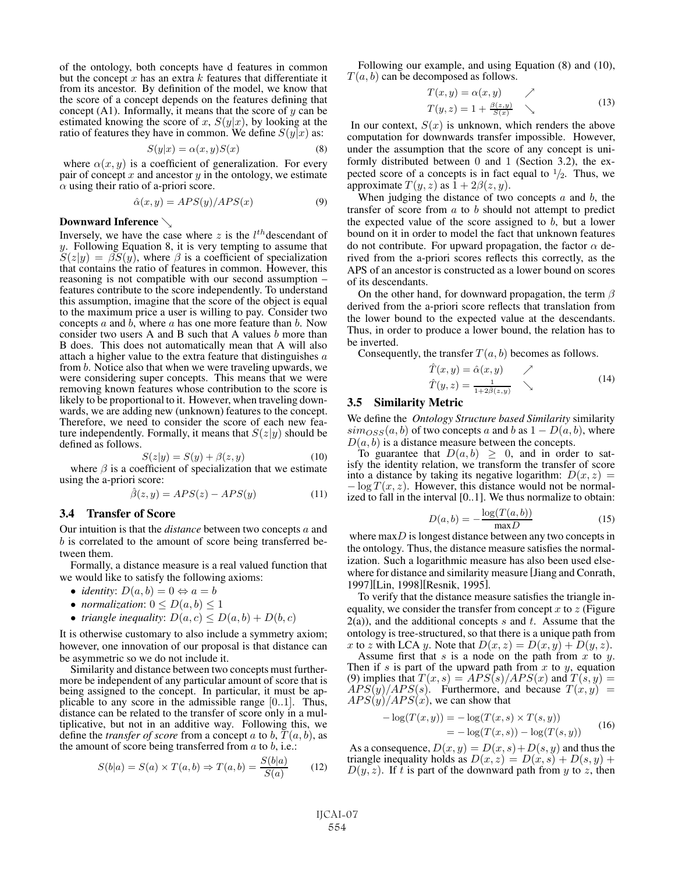of the ontology, both concepts have d features in common but the concept  $x$  has an extra  $k$  features that differentiate it from its ancestor. By definition of the model, we know that the score of a concept depends on the features defining that concept  $(A1)$ . Informally, it means that the score of y can be estimated knowing the score of x,  $S(y|x)$ , by looking at the ratio of features they have in common. We define  $S(y|x)$  as:

$$
S(y|x) = \alpha(x, y)S(x) \tag{8}
$$

where  $\alpha(x, y)$  is a coefficient of generalization. For every where  $\alpha(x, y)$  is a coefficient of generalization. For every pair of concept x and ancestor y in the ontology, we estimate  $\alpha$  using their ratio of a-priori score.

$$
\hat{\alpha}(x, y) = APS(y)/APS(x) \tag{9}
$$

#### Downward Inference

Inversely, we have the case where z is the  $l^{th}$  descendant of y. Following Equation 8, it is very tempting to assume that  $S(z|y) = \beta S(y)$ , where  $\beta$  is a coefficient of specialization that contains the ratio of features in common. However, this reasoning is not compatible with our second assumption – features contribute to the score independently. To understand this assumption, imagine that the score of the object is equal to the maximum price a user is willing to pay. Consider two concepts  $a$  and  $b$ , where  $a$  has one more feature than  $b$ . Now consider two users A and B such that A values  $b$  more than B does. This does not automatically mean that A will also attach a higher value to the extra feature that distinguishes  $a$ from b. Notice also that when we were traveling upwards, we were considering super concepts. This means that we were removing known features whose contribution to the score is likely to be proportional to it. However, when traveling downwards, we are adding new (unknown) features to the concept. Therefore, we need to consider the score of each new feature independently. Formally, it means that  $S(z|y)$  should be defined as follows.

$$
S(z|y) = S(y) + \beta(z, y)
$$
\n<sup>(10)</sup>

 $S(z|y) = S(y) + \beta(z, y)$  (10)<br>where  $\beta$  is a coefficient of specialization that we estimate using the a-priori score:

$$
\hat{\beta}(z,y) = APS(z) - APS(y) \tag{11}
$$

#### 3.4 Transfer of Score

Our intuition is that the *distance* between two concepts a and b is correlated to the amount of score being transferred between them.

Formally, a distance measure is a real valued function that we would like to satisfy the following axioms:

- *identity*:  $D(a, b) = 0 \Leftrightarrow a = b$
- *normalization*:  $0 \leq D(a, b) \leq 1$
- *triangle inequality:*  $D(a, c) \leq D(a, b) + D(b, c)$

It is otherwise customary to also include a symmetry axiom; however, one innovation of our proposal is that distance can be asymmetric so we do not include it.

Similarity and distance between two concepts must furthermore be independent of any particular amount of score that is being assigned to the concept. In particular, it must be applicable to any score in the admissible range [0..1]. Thus, distance can be related to the transfer of score only in a multiplicative, but not in an additive way. Following this, we define the *transfer of score* from a concept a to b,  $T(a, b)$ , as the amount of score being transferred from  $a$  to  $b$ , i.e.:

$$
S(b|a) = S(a) \times T(a,b) \Rightarrow T(a,b) = \frac{S(b|a)}{S(a)} \tag{12}
$$

Following our example, and using Equation (8) and (10),  $T(a, b)$  can be decomposed as follows.

$$
T(x, y) = \alpha(x, y)
$$
  
\n
$$
T(y, z) = 1 + \frac{\beta(z, y)}{S(x)}
$$
\n
$$
(13)
$$

In our context,  $S(x)$  is unknown, which renders the above computation for downwards transfer impossible. However, under the assumption that the score of any concept is uniformly distributed between 0 and 1 (Section 3.2), the expected score of a concepts is in fact equal to  $\frac{1}{2}$ . Thus, we approximate  $T(y, z)$  as  $1 + 2\beta(z, y)$ .

When judging the distance of two concepts  $a$  and  $b$ , the transfer of score from a to b should not attempt to predict the expected value of the score assigned to  $b$ , but a lower bound on it in order to model the fact that unknown features do not contribute. For upward propagation, the factor  $\alpha$  derived from the a-priori scores reflects this correctly, as the APS of an ancestor is constructed as a lower bound on scores of its descendants.

On the other hand, for downward propagation, the term  $\beta$ derived from the a-priori score reflects that translation from the lower bound to the expected value at the descendants. Thus, in order to produce a lower bound, the relation has to be inverted.

Consequently, the transfer  $T(a, b)$  becomes as follows.

$$
T(x, y) = \hat{\alpha}(x, y) \qquad \nearrow
$$
  

$$
\hat{T}(y, z) = \frac{1}{1 + 2\hat{\beta}(z, y)} \qquad \searrow
$$
 (14)

#### 3.5 Similarity Metric

We define the *Ontology Structure based Similarity* similarity  $\sin\cos\left(a, b\right)$  of two concepts a and b as  $1 - D(a, b)$ , where  $D(a, b)$  is a distance measure between the concepts.

To guarantee that  $D(a, b) \geq 0$ , and in order to satisfy the identity relation, we transform the transfer of score into a distance by taking its negative logarithm:  $D(x, z) = -\log T(x, z)$ . However, this distance would not be normalized to fall in the interval [0..1]. We thus normalize to obtain:

$$
D(a,b) = -\frac{\log(T(a,b))}{\max D}
$$
 (15)

where  $\max D$  is longest distance between any two concepts in the ontology. Thus, the distance measure satisfies the normalization. Such a logarithmic measure has also been used elsewhere for distance and similarity measure [Jiang and Conrath, 1997][Lin, 1998][Resnik, 1995].

To verify that the distance measure satisfies the triangle inequality, we consider the transfer from concept  $x$  to  $z$  (Figure  $2(a)$ , and the additional concepts s and t. Assume that the ontology is tree-structured, so that there is a unique path from

x to z with LCA y. Note that  $D(x, z) = D(x, y) + D(y, z)$ .<br>Assume first that s is a node on the path from x to y.<br>Then if s is part of the upward path from x to y, equation (9) implies that  $T(x, s) = APS(s)/APS(x)$  and  $T(s, y) =$  $APS(y)/APS(s)$ . Furthermore, and because  $T(x, y)$  =  $APS(y)/APS(x)$ , we can show that

$$
- \log(T(x, y)) = -\log(T(x, s) \times T(s, y))
$$
  
= -\log(T(x, s)) - \log(T(s, y)) (16)

As a consequence,  $D(x, y) = D(x, s) + D(s, y)$  and thus the riangle inequality holds as  $D(x, z) = D(x, s) + D(s, y) + D(s, y)$ triangle inequality holds as  $D(x, z) = D(x, s) + D(s, y) +$  $D(y, z)$ . If t is part of the downward path from y to z, then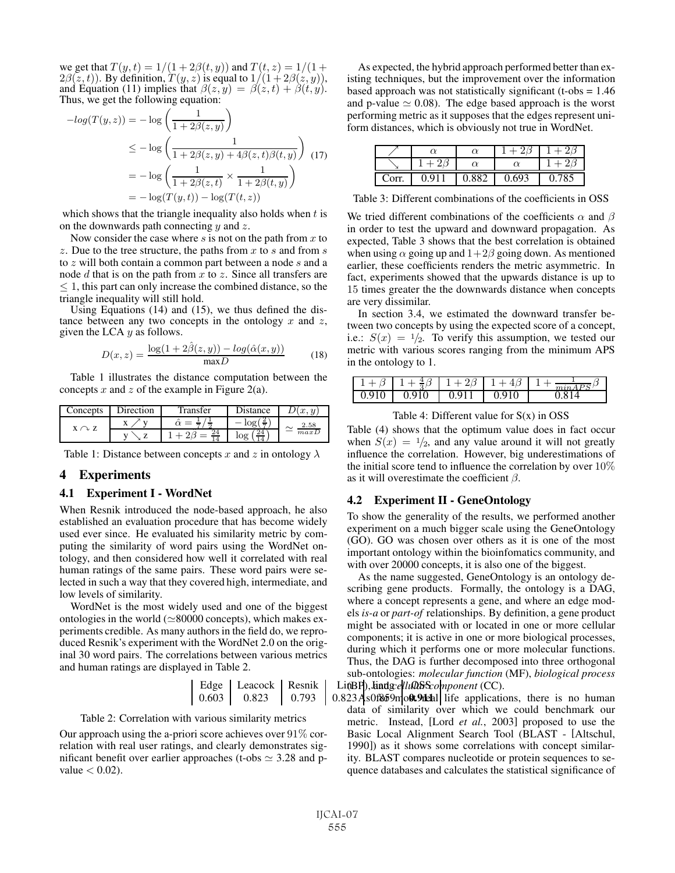we get that  $T(y, t) = 1/(1 + 2\beta(t, y))$  and  $T(t, z) = 1/(1 +$  $2\beta(z, t)$ ). By definition,  $T(y, z)$  is equal to  $1/(1 + 2\beta(z, y))$ , and Equation (11) implies that  $\beta(z, y) = \beta(z, t) + \beta(t, y)$ . Thus, we get the following equation:

$$
-log(T(y, z)) = -log\left(\frac{1}{1 + 2\beta(z, y)}\right)
$$
  
\n
$$
\leq -log\left(\frac{1}{1 + 2\beta(z, y) + 4\beta(z, t)\beta(t, y)}\right)
$$
(17)  
\n
$$
= -log\left(\frac{1}{1 + 2\beta(z, t)} \times \frac{1}{1 + 2\beta(t, y)}\right)
$$
  
\n
$$
= -log(T(y, t)) - log(T(t, z))
$$

which shows that the triangle inequality also holds when  $t$  is on the downwards path connecting  $y$  and  $z$ .

Now consider the case where s is not on the path from  $x$  to z. Due to the tree structure, the paths from x to s and from s to z will both contain a common part between a node s and a node  $d$  that is on the path from  $x$  to  $z$ . Since all transfers are  $\leq 1$ , this part can only increase the combined distance, so the triangle inequality will still hold.

Using Equations (14) and (15), we thus defined the distance between any two concepts in the ontology  $x$  and  $z$ , given the LCA  $y$  as follows.

$$
D(x,z) = \frac{\log(1 + 2\hat{\beta}(z,y)) - \log(\hat{\alpha}(x,y))}{\max D}
$$
 (18)

Table 1 illustrates the distance computation between the concepts x and z of the example in Figure 2(a).

| v<br>-<br>2.58<br>л<br>$X \cap Z$<br>$\sim$<br>24<br>maxD | Concepts | Direction | Transfer | Distance |  |
|-----------------------------------------------------------|----------|-----------|----------|----------|--|
|                                                           |          |           |          |          |  |
|                                                           |          |           |          |          |  |

Table 1: Distance between concepts x and z in ontology  $\lambda$ 

## 4 Experiments

#### 4.1 Experiment I - WordNet

When Resnik introduced the node-based approach, he also established an evaluation procedure that has become widely used ever since. He evaluated his similarity metric by computing the similarity of word pairs using the WordNet ontology, and then considered how well it correlated with real human ratings of the same pairs. These word pairs were selected in such a way that they covered high, intermediate, and low levels of similarity.

WordNet is the most widely used and one of the biggest ontologies in the world ( $\simeq$ 80000 concepts), which makes experiments credible. As many authors in the field do, we reproduced Resnik's experiment with the WordNet 2.0 on the original 30 word pairs. The correlations between various metrics and human ratings are displayed in Table 2.

\n Edge  
\n 
$$
\left| \begin{array}{cc}\n \text{Leacock} & \text{Resnik} \\
0.823 & 0.793\n \end{array} \right|
$$
\n

\n\n Li(BP),  
\n `Endgellu`BS: `component (CC)`.\n

\n\n 0.803  
\n 0.823  
\n 4s0f859m`ob.9th`l`l`l`l`l`l`ife  
\n a publication\n

#### Table 2: Correlation with various similarity metrics

Our approach using the a-priori score achieves over  $91\%$  correlation with real user ratings, and clearly demonstrates significant benefit over earlier approaches (t-obs  $\simeq$  3.28 and pvalue  $< 0.02$ ).

As expected, the hybrid approach performed better than existing techniques, but the improvement over the information based approach was not statistically significant (t-obs = 1.46 and p-value  $\simeq 0.08$ ). The edge based approach is the worst performing metric as it supposes that the edges represent uniform distances, which is obviously not true in WordNet.

|       |     | $_{\alpha}$ |       |  |
|-------|-----|-------------|-------|--|
|       |     |             |       |  |
| Corr. | 0 O | 882         | 0.693 |  |

Table 3: Different combinations of the coefficients in OSS

We tried different combinations of the coefficients  $\alpha$  and  $\beta$ in order to test the upward and downward propagation. As expected, Table 3 shows that the best correlation is obtained when using  $\alpha$  going up and  $1+2\beta$  going down. As mentioned earlier, these coefficients renders the metric asymmetric. In fact, experiments showed that the upwards distance is up to 15 times greater the the downwards distance when concepts are very dissimilar.

In section 3.4, we estimated the downward transfer between two concepts by using the expected score of a concept, i.e.:  $S(x) = \frac{1}{2}$ . To verify this assumption, we tested our metric with various scores ranging from the minimum APS in the ontology to 1.

|    | -<br>$\overline{\phantom{a}}$<br>$\sim$ | - -     | ~             | $\gamma$ |
|----|-----------------------------------------|---------|---------------|----------|
| ΙV | ◡                                       | ٠.<br>ັ | 1 $\cap$<br>◡ |          |

Table 4: Different value for  $S(x)$  in OSS

Table (4) shows that the optimum value does in fact occur when  $S(x) = \frac{1}{2}$ , and any value around it will not greatly influence the correlation. However, big underestimations of the initial score tend to influence the correlation by over 10% as it will overestimate the coefficient  $\beta$ .

#### 4.2 Experiment II - GeneOntology

To show the generality of the results, we performed another experiment on a much bigger scale using the GeneOntology (GO). GO was chosen over others as it is one of the most important ontology within the bioinfomatics community, and with over 20000 concepts, it is also one of the biggest.

As the name suggested, GeneOntology is an ontology describing gene products. Formally, the ontology is a DAG, where a concept represents a gene, and where an edge models *is-a* or *part-of* relationships. By definition, a gene product might be associated with or located in one or more cellular components; it is active in one or more biological processes, during which it performs one or more molecular functions. Thus, the DAG is further decomposed into three orthogonal sub-ontologies: *molecular function* (MF), *biological process*

 $0.603$  |  $0.823$  |  $0.793$  |  $0.823$  As0f859mo**0t9deh**| life applications, there is no human data of similarity over which we could benchmark our metric. Instead, [Lord *et al.*, 2003] proposed to use the Basic Local Alignment Search Tool (BLAST - [Altschul, 1990]) as it shows some correlations with concept similarity. BLAST compares nucleotide or protein sequences to sequence databases and calculates the statistical significance of